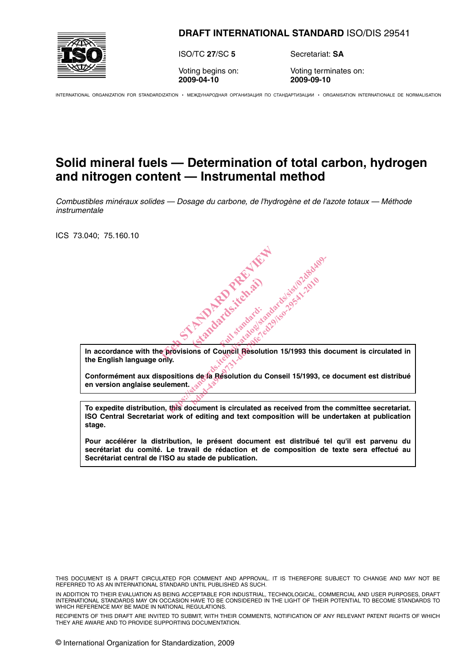**DRAFT INTERNATIONAL STANDARD** ISO/DIS 29541



ISO/TC **27**/SC **5**

Secretariat: **SA**

Voting begins on: **2009-04-10**

Voting terminates on: **2009-09-10**

INTERNATIONAL ORGANIZATION FOR STANDARDIZATION • МЕЖДУНАРОДНАЯ ОРГАНИЗАЦИЯ ПО СТАНДАРТИЗАЦИИ • ORGANISATION INTERNATIONALE DE NORMALISATION

### **Solid mineral fuels — Determination of total carbon, hydrogen and nitrogen content — Instrumental method**

Combustibles minéraux solides — Dosage du carbone, de l'hydrogène et de l'azote totaux — Méthode instrumentale

ICS 73.040; 75.160.10

**In accordance with the provisions of Council Resolution 15/1993 this document is circulated in the English language only. Example 20 PREVIEW AND REVIEW AND REVIEW AND REVENUE AND REVENUE AND REVENUE AND REVENUE OF A PROPERTY OF A PROPERTY OF A PROPERTY OF A PROPERTY OF A PROPERTY OF A PROPERTY OF A PROPERTY OF A PROPERTY OF A PROPERTY OF A P** Employed Revised this document is circulated as received from the<br>this document is circulated as received from the<br>this document is circulated as received from the<br>this document is circulated as received from the Bedavier of the Marie 2019 is a 102-2019<br>Start device in the Angle 2019 iso-2019<br>ons of Council Resolution 15/1993 this<br>s develops the Resolution du Conseil 15/1993,

**Conformément aux dispositions de la Résolution du Conseil 15/1993, ce document est distribué en version anglaise seulement.**

**To expedite distribution, this document is circulated as received from the committee secretariat. ISO Central Secretariat work of editing and text composition will be undertaken at publication stage.**

**Pour accélérer la distribution, le présent document est distribué tel qu'il est parvenu du secrétariat du comité. Le travail de rédaction et de composition de texte sera effectué au Secrétariat central de l'ISO au stade de publication.**

THIS DOCUMENT IS A DRAFT CIRCULATED FOR COMMENT AND APPROVAL. IT IS THEREFORE SUBJECT TO CHANGE AND MAY NOT BE REFERRED TO AS AN INTERNATIONAL STANDARD UNTIL PUBLISHED AS SUCH.

IN ADDITION TO THEIR EVALUATION AS BEING ACCEPTABLE FOR INDUSTRIAL, TECHNOLOGICAL, COMMERCIAL AND USER PURPOSES, DRAFT<br>INTERNATIONAL STANDARDS MAY ON OCCASION HAVE TO BE CONSIDERED IN THE LIGHT OF THEIR POTENTIAL TO BECOME WHICH REFERENCE MAY BE MADE IN NATIONAL REGULATIONS.

RECIPIENTS OF THIS DRAFT ARE INVITED TO SUBMIT, WITH THEIR COMMENTS, NOTIFICATION OF ANY RELEVANT PATENT RIGHTS OF WHICH THEY ARE AWARE AND TO PROVIDE SUPPORTING DOCUMENTATION.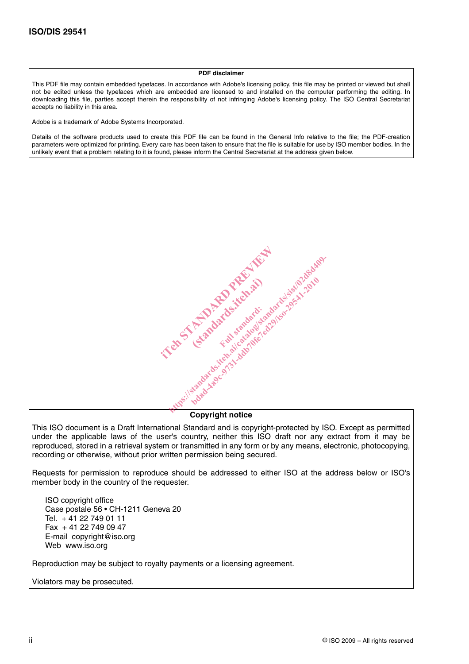#### **PDF disclaimer**

This PDF file may contain embedded typefaces. In accordance with Adobe's licensing policy, this file may be printed or viewed but shall not be edited unless the typefaces which are embedded are licensed to and installed on the computer performing the editing. In downloading this file, parties accept therein the responsibility of not infringing Adobe's licensing policy. The ISO Central Secretariat accepts no liability in this area.

Adobe is a trademark of Adobe Systems Incorporated.

Details of the software products used to create this PDF file can be found in the General Info relative to the file; the PDF-creation parameters were optimized for printing. Every care has been taken to ensure that the file is suitable for use by ISO member bodies. In the unlikely event that a problem relating to it is found, please inform the Central Secretariat at the address given below.



#### **Copyright notice**

This ISO document is a Draft International Standard and is copyright-protected by ISO. Except as permitted under the applicable laws of the user's country, neither this ISO draft nor any extract from it may be reproduced, stored in a retrieval system or transmitted in any form or by any means, electronic, photocopying, recording or otherwise, without prior written permission being secured.

Requests for permission to reproduce should be addressed to either ISO at the address below or ISO's member body in the country of the requester.

ISO copyright office Case postale 56 • CH-1211 Geneva 20 Tel. + 41 22 749 01 11 Fax + 41 22 749 09 47 E-mail copyright@iso.org Web www.iso.org

Reproduction may be subject to royalty payments or a licensing agreement.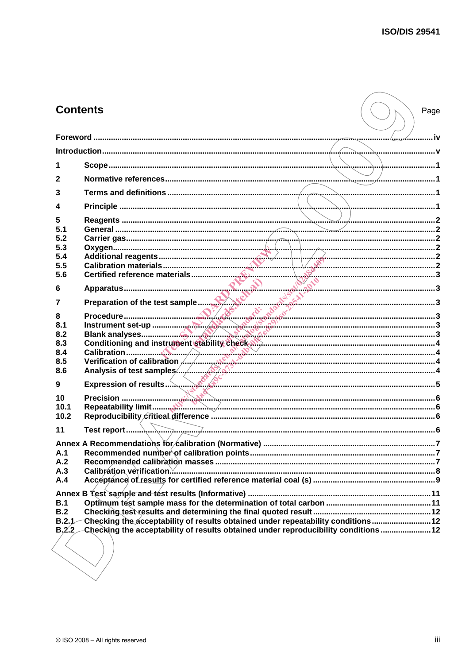$\overline{\phantom{0}}$ 

|                   | <b>Contents</b><br>Page                                                                         |  |
|-------------------|-------------------------------------------------------------------------------------------------|--|
|                   |                                                                                                 |  |
|                   |                                                                                                 |  |
| 1                 |                                                                                                 |  |
| 2                 |                                                                                                 |  |
| 3                 |                                                                                                 |  |
| 4                 |                                                                                                 |  |
| 5                 |                                                                                                 |  |
| 5.1               |                                                                                                 |  |
| 5.2               |                                                                                                 |  |
| 5.3<br>5.4        |                                                                                                 |  |
| 5.5               |                                                                                                 |  |
| 5.6               |                                                                                                 |  |
| 6                 |                                                                                                 |  |
| 7                 |                                                                                                 |  |
| 8                 |                                                                                                 |  |
| 8.1               |                                                                                                 |  |
| 8.2<br>8.3        |                                                                                                 |  |
| 8.4               |                                                                                                 |  |
| 8.5               |                                                                                                 |  |
| 8.6               |                                                                                                 |  |
| 9                 | Calibration<br>Verification of calibration<br>Analysis of test samples<br>Expression of results |  |
| 10                |                                                                                                 |  |
| 10.1<br>10.2      |                                                                                                 |  |
|                   |                                                                                                 |  |
| 11                |                                                                                                 |  |
| A 1               |                                                                                                 |  |
| A.2               |                                                                                                 |  |
| A.3               |                                                                                                 |  |
| A.4               |                                                                                                 |  |
|                   |                                                                                                 |  |
| B.1<br>B.2        |                                                                                                 |  |
| $B.2 \mathcal{A}$ | Checking the acceptability of results obtained under repeatability conditions12                 |  |
| B.2.2             | Checking the acceptability of results obtained under reproducibility conditions  12             |  |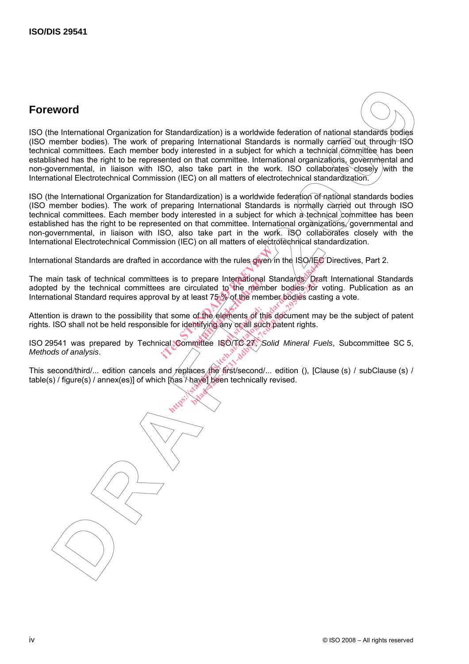**Foreword** 



ISO (the International Organization for Standardization) is a worldwide federation of national standards bodies (ISO member bodies). The work of preparing International Standards is normally carried out through ISO technical committees. Each member body interested in a subject for which a technical committee has been established has the right to be represented on that committee. International organizations, governmental and non-governmental, in liaison with ISO, also take part in the work. ISO collaborates closely with the International Electrotechnical Commission (IEC) on all matters of electrotechnical standardization. anal Organization for Standardization) is a worldwide federation of national standards bodies<br>des.). The work of preparing international Standards is normally carried out through 150<br>oles. Each member body interested in a

ISO (the International Organization for Standardization) is a worldwide federation of national standards bodies (ISO member bodies). The work of preparing International Standards is normally carried out through ISO technical committees. Each member body interested in a subject for which a technical committee has been established has the right to be represented on that committee. International organizations, governmental and non-governmental, in liaison with ISO, also take part in the work. ISO collaborates closely with the International Electrotechnical Commission (IEC) on all matters of electrotechnical standardization.

International Standards are drafted in accordance with the rules given in the ISO/IEC Directives, Part 2.

The main task of technical committees is to prepare International Standards. Draft International Standards adopted by the technical committees are circulated to the member bodies for voting. Publication as an International Standard requires approval by at least 75 % of the member bodies casting a vote. accordance with the rules given in the<br>les is to prepare International Standards are circulated to the member boy<br>wal by at least 75% of the member boy<br>and some of the elements of this docu-<br>ple for identifying any or all prepare International<br>rculated to the membre<br>least 75% of the memor<br>of the elements of this<br>intifying any or all such<br>intiffee ISO(TC 27, Se cordance with the rules given in the ISO/IEC D<br>is to prepare International Standards. Draft I<br>are circulated to the member bodies for vot<br>I by at least 75% of the member bodies casting<br>some of the elements of this decument prepare International Standards Dr.<br>
rculated to the member bodies for<br>
least 75% of the member bodies case<br>
of the elements of this document manifying any orall such patent rights.<br>
In the state of the first second... edi

Attention is drawn to the possibility that some of the elements of this document may be the subject of patent rights. ISO shall not be held responsible for identifying any or all such patent rights. Attention is drawn to the possibility that some of the elements of this document may be the subject of patent<br>rights. ISO shall not be held responsible for identifying any or all such patent rights.<br>ISO 29541 was prepared

*Methods of analysis*.

This second/third/... edition cancels and replaces the first/second/... edition (), [Clause (s) / subClause (s) / table(s) / figure(s) / annex(es)] of which [has  $\lambda$  have] been technically revised.

iv © ISO 2008 – All rights reserved

**D**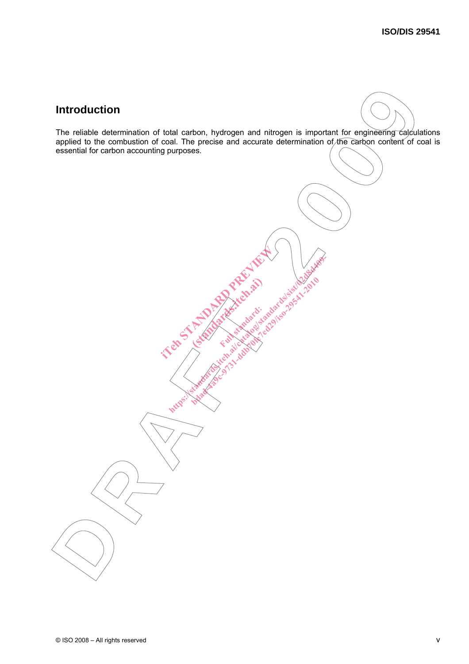#### **Introduction**

The reliable determination of total carbon, hydrogen and nitrogen is important for engineering calculations applied to the combustion of coal. The precise and accurate determination of the carbon content of coal is essential for carbon accounting purposes. **Letion**<br>
ale determination of total carbon, hydrogen and nitrogen is important for engineering calculation<br>
for carbon accounting purposes.<br>
The construction of the carbon condense of the carbon condense of the carbon con

in Standard Preview Review 16.1 (standards.in)

https://standards.item.ai/catalogistic.network.com/sist/02d8d409-102d8d409-102d8d409-102d8d409-102d8d409-102d8d409-1<br>catalogistic.network.com/sist/02d8d409-102d8d409-102d8d409-102d8d409-102d8d409-102d8d409-102d8d409-102d8d bdade-2010 ferrorist and the 2010 ferrorist and the 2010

**D**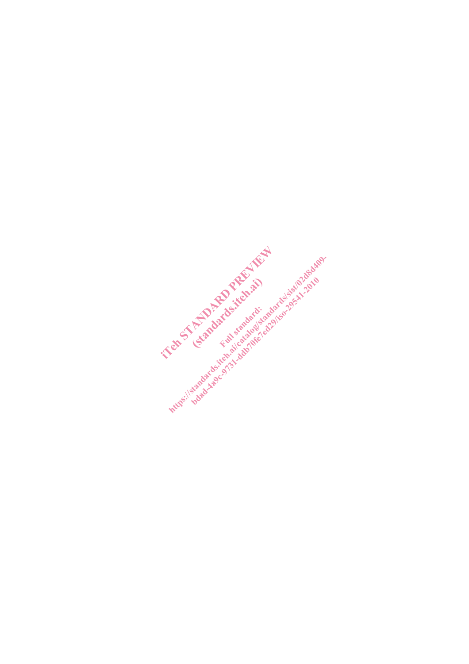Tich of Amazon President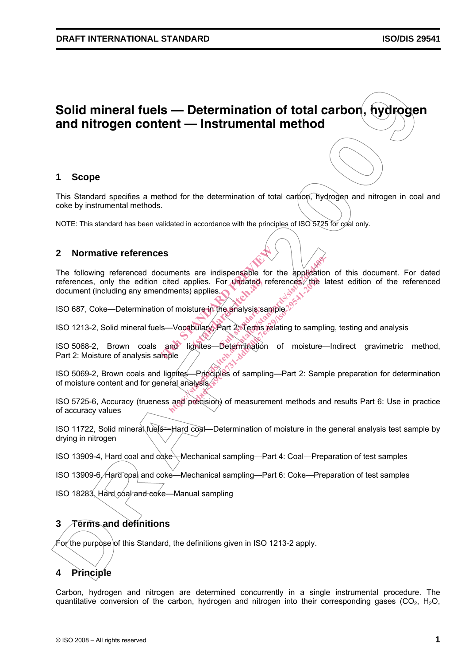# **Solid mineral fuels — Determination of total carbon, hydrogen and nitrogen content — Instrumental method Reference to the Control of the Control of the Control of the Control of the Control of the Control of the Control of the Control of the Control of the Control of the Control of the Control of the Control of the Control o**

#### **1 Scope**

This Standard specifies a method for the determination of total carbon, hydrogen and nitrogen in coal and coke by instrumental methods.

NOTE: This standard has been validated in accordance with the principles of ISO 5725 for coal only.

#### **2 Normative references**

The following referenced documents are indispensable for the application of this document. For dated references, only the edition cited applies. For undated references, the latest edition of the referenced document (including any amendments) applies.<br>
ISO 687, Coke—Determination of moisture in the analysis sample.<br>
ISO 12 document (including any amendments) applies. SS<br>
cuments are indispensable for the<br>
cited applies. For undated referenced<br>
in of moisture in the analysis sample<br>
is—Vocabulary Part 2: Terms relating<br>
and lignites—Determination of<br>
imple ments are indispensable for the application<br>ted applies. For undated references, the lat<br>ments) applies.<br>of moisture in the analysis sample?<br>-<br>Vocabulary Part 2. Series relating to sampling<br>-<br>Vocabulary Part 2. Series rela

ISO 687, Coke—Determination of moisture in the analysis sample

ISO 1213-2, Solid mineral fuels—Vocabulary, Part 2: Terms relating to sampling, testing and analysis he analysis sa<br>Part 2: Terms<br>Petermination

ISO 5068-2, Brown coals and lignites—Determination of moisture—Indirect gravimetric method, Part 2: Moisture of analysis sample bullary Part 2; Terms relating to sample<br>
ture in the analysis sample.<br>
bulary Part 2: Terms relating to sampling<br>
gnites—Determination of moisture<br>
-Principles of sampling—Part 2: Sampling<br>
recision) of measurement method

ISO 5069-2, Brown coals and lignites—Principles of sampling—Part 2: Sample preparation for determination of moisture content and for general analysis.

ISO 5725-6, Accuracy (trueness and precision) of measurement methods and results Part 6: Use in practice of accuracy values

ISO 11722, Solid mineral fuels—Hard coal—Determination of moisture in the general analysis test sample by drying in nitrogen

ISO 13909-4, Hard coal and cokeMechanical sampling-Part 4: Coal-Preparation of test samples

ISO 13909-6, Hard coal and coke—Mechanical sampling—Part 6: Coke—Preparation of test samples

ISO 18283, Hard coal and coke—Manual sampling

## **3 Terms and definitions**  3 Terms and only the purpose of the purpose of the purpose of the Principle

For the purpose of this Standard, the definitions given in ISO 1213-2 apply.

#### **4 Principle**

Carbon, hydrogen and nitrogen are determined concurrently in a single instrumental procedure. The quantitative conversion of the carbon, hydrogen and nitrogen into their corresponding gases (CO<sub>2</sub>, H<sub>2</sub>O,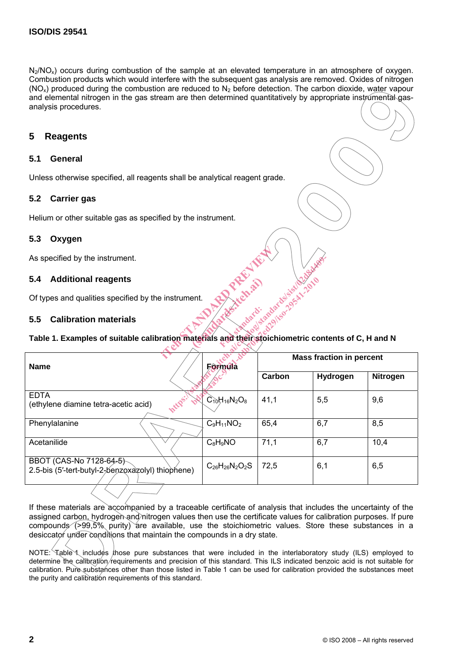$N_2/NO_x$ ) occurs during combustion of the sample at an elevated temperature in an atmosphere of oxygen. Combustion products which would interfere with the subsequent gas analysis are removed. Oxides of nitrogen  $(NO<sub>x</sub>)$  produced during the combustion are reduced to N<sub>2</sub> before detection. The carbon dioxide, water vapour and elemental nitrogen in the gas stream are then determined quantitatively by appropriate instrumental gasanalysis procedures.

#### **5 Reagents**

#### **5.1 General**

#### **5.2 Carrier gas**

#### **5.3 Oxygen**

#### **5.4 Additional reagents**

#### **5.5 Calibration materials**

# **Table 1. Examples of suitable calibration materials and their stoichiometric contents of C, H and N** ent.<br>England Recharges.<br>**England their stor**

| (NO <sub>x</sub> ) produced during the combustion are reduced to N <sub>2</sub> before detection. The carbon dioxide, water vapour<br>and elemental nitrogen in the gas stream are then determined quantitatively by appropriate instrumental gas-<br>analysis procedures. |                       |        |                                 |                 |  |  |  |
|----------------------------------------------------------------------------------------------------------------------------------------------------------------------------------------------------------------------------------------------------------------------------|-----------------------|--------|---------------------------------|-----------------|--|--|--|
|                                                                                                                                                                                                                                                                            |                       |        |                                 |                 |  |  |  |
|                                                                                                                                                                                                                                                                            |                       |        |                                 |                 |  |  |  |
| 5<br><b>Reagents</b>                                                                                                                                                                                                                                                       |                       |        |                                 |                 |  |  |  |
| <b>General</b><br>5.1                                                                                                                                                                                                                                                      |                       |        |                                 |                 |  |  |  |
| Unless otherwise specified, all reagents shall be analytical reagent grade.                                                                                                                                                                                                |                       |        |                                 |                 |  |  |  |
| <b>Carrier gas</b><br>5.2                                                                                                                                                                                                                                                  |                       |        |                                 |                 |  |  |  |
| Helium or other suitable gas as specified by the instrument.                                                                                                                                                                                                               |                       |        |                                 |                 |  |  |  |
| 5.3<br>Oxygen                                                                                                                                                                                                                                                              |                       |        |                                 |                 |  |  |  |
| As specified by the instrument.                                                                                                                                                                                                                                            |                       |        |                                 |                 |  |  |  |
| <b>Additional reagents</b><br>5.4                                                                                                                                                                                                                                          |                       |        |                                 |                 |  |  |  |
| Of types and qualities specified by the instrument.                                                                                                                                                                                                                        |                       |        |                                 |                 |  |  |  |
| 29/iso-29541-2011<br>istandardsjást<br><b>Calibration materials</b><br>5.5<br>Table 1. Examples of suitable calibration materials and their stoichiometric contents of C, H and N                                                                                          |                       |        |                                 |                 |  |  |  |
|                                                                                                                                                                                                                                                                            |                       |        |                                 |                 |  |  |  |
|                                                                                                                                                                                                                                                                            |                       |        |                                 |                 |  |  |  |
|                                                                                                                                                                                                                                                                            |                       |        | <b>Mass fraction in percent</b> |                 |  |  |  |
| <b>Name</b>                                                                                                                                                                                                                                                                | Formula               | Carbon | Hydrogen                        | <b>Nitrogen</b> |  |  |  |
| <b>EDTA</b><br>(ethylene diamine tetra-acetic acid)                                                                                                                                                                                                                        | $C_{10}H_{16}N_2O_8$  | 41,1   | 5,5                             | 9,6             |  |  |  |
| Phenylalanine                                                                                                                                                                                                                                                              | $C_9H_{11}NO_2$       | 65,4   | 6,7                             | 8,5             |  |  |  |
| Acetanilide                                                                                                                                                                                                                                                                | $C_8H_9NO$            | 71,1   | 6,7                             | 10,4            |  |  |  |
| BBOT (CAS-No 7128-64-5)<br>2.5-bis (5'-tert-butyl-2-benzoxazolyl) thiophene)                                                                                                                                                                                               | $C_{26}H_{26}N_2O_2S$ | 72,5   | 6,1                             | 6,5             |  |  |  |
|                                                                                                                                                                                                                                                                            |                       |        |                                 |                 |  |  |  |

If these materials are accompanied by a traceable certificate of analysis that includes the uncertainty of the assigned carbon, hydrogen and nitrogen values then use the certificate values for calibration purposes. If pure compounds  $(299,5\%)$  purity) are available, use the stoichiometric values. Store these substances in a desiccator under conditions that maintain the compounds in a dry state.

NOTE:  $T$ able  $\uparrow$  includes those pure substances that were included in the interlaboratory study (ILS) employed to determine the calibration/requirements and precision of this standard. This ILS indicated benzoic acid is not suitable for calibration. Pure substances other than those listed in Table 1 can be used for calibration provided the substances meet It wises matches are assompanied by a matches<br>assigned carbon, hydrogen and nitrogen values the<br>compounds (>99,5% purity) are available, use<br>desiccator under conditions that maintain the comp<br>NOTE: Table 1 includes those p